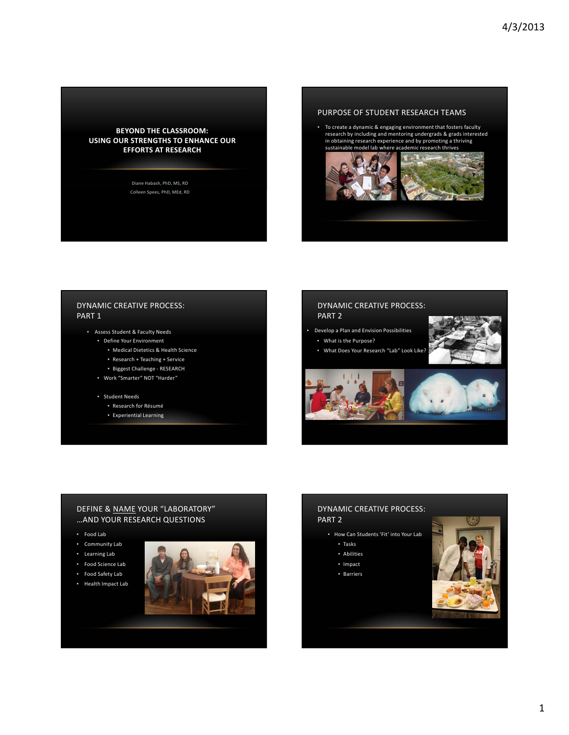

Diane Habash, PhD, MS, RD Colleen Spees, PhD, MEd, RD

# PURPOSE OF STUDENT RESEARCH TEAMS

• To create a dynamic & engaging environment that fosters faculty<br>research by including and mentoring undergrads & grads interested<br>in obtaining research experience and by promoting a thriving<br>sustainable model lab where a



# DYNAMIC CREATIVE PROCESS: PART 1

- Assess Student & Faculty Needs
	- Define Your Environment
		- Medical Dietetics & Health Science
		- Research + Teaching + Service
		- Biggest Challenge ‐ RESEARCH
	- Work "Smarter" NOT "Harder"
	- Student Needs
		- Research for Résumé
		- Experiential Learning

# DYNAMIC CREATIVE PROCESS: PART 2

- Develop a Plan and Envision Possibilities
- What is the Purpose?
	- What Does Your Research "Lab" Look Like?





## DEFINE & <u>NAME</u> YOUR "LABORATORY" …AND YOUR RESEARCH QUESTIONS

- Food Lab
- Community Lab
- Learning Lab
- Food Science Lab
- Food Safety Lab
- Health Impact Lab



# DYNAMIC CREATIVE PROCESS: PART 2

- How Can Students 'Fit' into Your Lab
	- Tasks
	- Abilities
	- Impact
	- Barriers

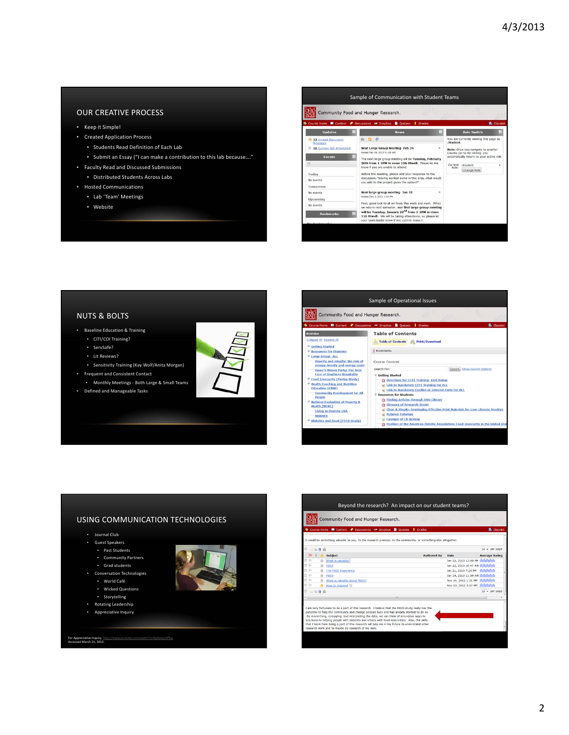# OUR CREATIVE PROCESS

- Keep it Simple!
- Created Application Process
	- Students Read Definition of Each Lab
	- Submit an Essay ("I can make a contribution to this lab because…."
- Faculty Read and Discussed Submissions
	- Distributed Students Across Labs
- Hosted Communications
	- Lab 'Team' Meetings
	- Website



#### NUTS & BOLTS

- Baseline Education & Training
	- CITI/COI Training?
	- ServSafe?
	- Lit Reviews?
- Sensitivity Training (Kay Wolf/Anita Morgan) • Frequent and Consistent Contact
- Monthly Meetings ‐ Both Large & Small Teams
- Defined and Manageable Tasks





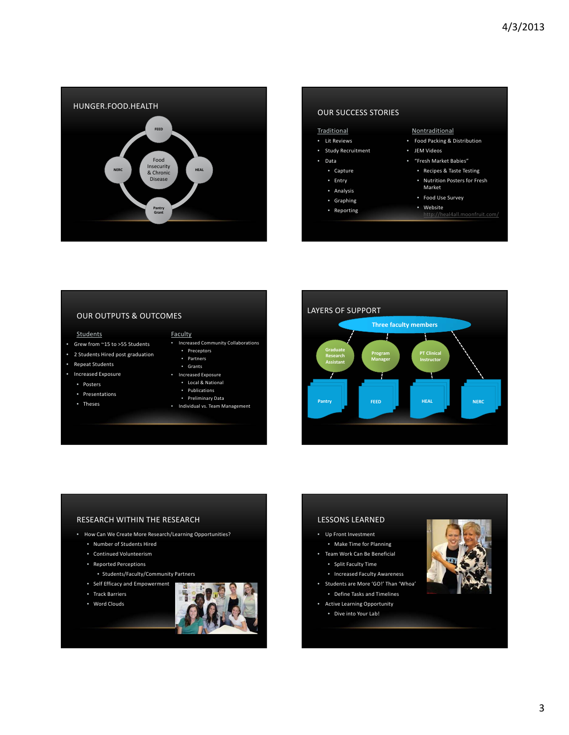

# • Food Packing & Distribution • Lit Reviews OUR SUCCESS STORIES Traditional Nontraditional

### • Study Recruitment

- Data
- Capture
- Entry
- Analysis
- Graphing
- Reporting

- JEM Videos
- "Fresh Market Babies"
	- Recipes & Taste Testing
	- Nutrition Posters for Fresh Market
	- Food Use Survey
	- Website
	- http://heal4all.moonfruit.com/

# OUR OUTPUTS & OUTCOMES

#### Students Faculty

- Grew from ~15 to >55 Students
- 2 Students Hired post graduation
- Repeat Students
- Increased Exposure
	- Posters
	- Presentations
	- Theses
- 
- Increased Community Collaborations
	- Preceptors
	- Partners
	- Grants
- Increased Exposure • Local & National
	- Publications
	- Preliminary Data
- Individual vs. Team Management



# RESEARCH WITHIN THE RESEARCH

- How Can We Create More Research/Learning Opportunities?
	- Number of Students Hired
	- Continued Volunteerism
	- Reported Perceptions
		- Students/Faculty/Community Partners
	- Self Efficacy and Empowerment
	- Track Barriers